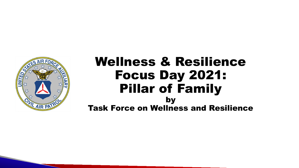

Task Force on Wellness and Resilience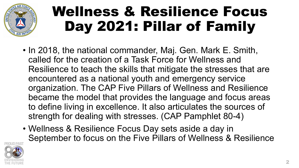

- In 2018, the national commander, Maj. Gen. Mark E. Smith, called for the creation of a Task Force for Wellness and Resilience to teach the skills that mitigate the stresses that are encountered as a national youth and emergency service organization. The CAP Five Pillars of Wellness and Resilience became the model that provides the language and focus areas to define living in excellence. It also articulates the sources of strength for dealing with stresses. (CAP Pamphlet 80-4)
- Wellness & Resilience Focus Day sets aside a day in September to focus on the Five Pillars of Wellness & Resilience

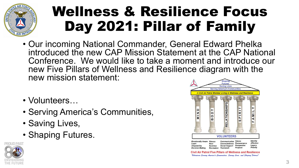

- Our incoming National Commander, General Edward Phelka introduced the new CAP Mission Statement at the CAP National Conference. We would like to take a moment and introduce our new Five Pillars of Wellness and Resilience diagram with the new mission statement:
- Volunteers…
- Serving America's Communities,
- Saving Lives,
- Shaping Futures.





Civil Air Patrol Five Pillars of Wellness and Resilience "Volunteers Serving America's Communities. Saving Lives. and Shaping Jutures'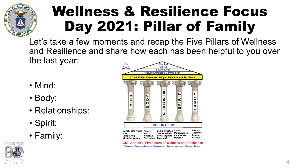

Let's take a few moments and recap the Five Pillars of Wellness and Resilience and share how each has been helpful to you over the last year:

- Mind:
- Body:
- Relationships:
- Spirit:
- Family:





**Civil Air Patrol Five Pillars of Wellness and Resilience** "Volunteers Serving America's Communities. Saving Lives. and Shaping Jutures"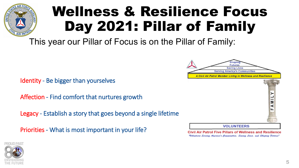This year our Pillar of Focus is on the Pillar of Family:

Identity - Be bigger than yourselves

Affection - Find comfort that nurtures growth

Legacy - Establish a story that goes beyond a single lifetime

Priorities - What is most important in your life?



**Civil Air Patrol Five Pillars of Wellness and Resilience** "Volunteers Serving America's Communities. Saving Lives. and Shaping Jutures"

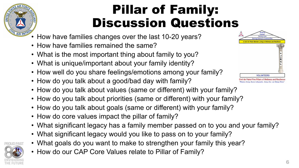

#### Pillar of Family: Discussion Questions

- How have families changes over the last 10-20 years?
- How have families remained the same?
- What is the most important thing about family to you?
- What is unique/important about your family identity?
- How well do you share feelings/emotions among your family?
- How do you talk about a good/bad day with family?
- How do you talk about values (same or different) with your family?
- How do you talk about priorities (same or different) with your family?
- How do you talk about goals (same or different) with your family?
- How do core values impact the pillar of family?
- What significant legacy has a family member passed on to you and your family?
- What significant legacy would you like to pass on to your family?
- What goals do you want to make to strengthen your family this year?
- How do our CAP Core Values relate to Pillar of Family?

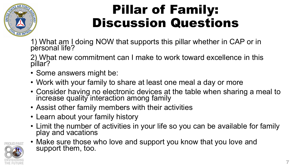

#### Pillar of Family: Discussion Questions

1) What am I doing NOW that supports this pillar whether in CAP or in personal life?

2) What new commitment can I make to work toward excellence in this pillar?

- Some answers might be:
- Work with your family to share at least one meal a day or more
- Consider having no electronic devices at the table when sharing a meal to increase quality interaction among family
- Assist other family members with their activities
- Learn about your family history
- Limit the number of activities in your life so you can be available for family play and vacations



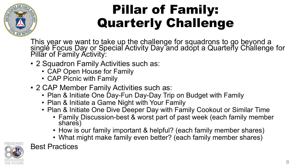

### Pillar of Family: Quarterly Challenge

This year we want to take up the challenge for squadrons to go beyond a singlé Focus Day or Special Activity Day and adopt a Quarterly Challenge for Pillar of Family Activity:

- 2 Squadron Family Activities such as:
	- CAP Open House for Family
	- CAP Picnic with Family
- 2 CAP Member Family Activities such as:
	- Plan & Initiate One Day-Fun Day-Day Trip on Budget with Family
	- Plan & Initiate a Game Night with Your Family
	- Plan & Initiate One Dive Deeper Day with Family Cookout or Similar Time
		- Family Discussion-best & worst part of past week (each family member shares)
		- How is our family important & helpful? (each family member shares)
		- What might make family even better? (each family member shares)



Best Practices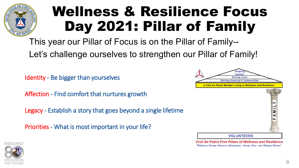

This year our Pillar of Focus is on the Pillar of Family-- Let's challenge ourselves to strengthen our Pillar of Family!

Identity - Be bigger than yourselves

Affection - Find comfort that nurtures growth

Legacy - Establish a story that goes beyond a single lifetime

Priorities - What is most important in your life?



**Civil Air Patrol Five Pillars of Wellness and Resilience** "Volanteers Serving America's Communities. Saving Lives. and Shaping Jatures"